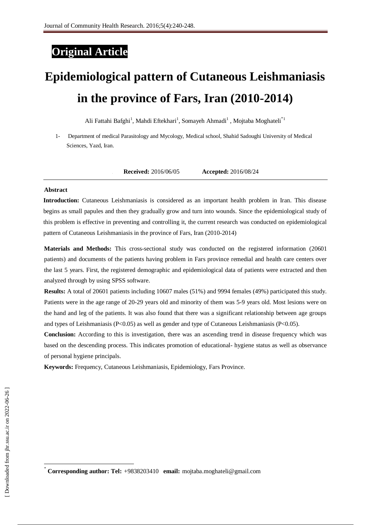## **Original Article**

# **Epidemiological pattern of Cutaneous Leishmaniasis in the province of Fars, Iran (2010-2014)**

Ali Fattahi Bafghi<sup>1</sup>, Mahdi Eftekhari<sup>1</sup>, Somayeh Ahmadi<sup>1</sup>, Mojtaba Moghateli<sup>\*1</sup>

1- Department of medical Parasitology and Mycology, Medical school, Shahid Sadoughi University of Medical Sciences, Yazd, Iran.

**1. Received:** 2016/06/05 **Accepted:** 2016/08/24

#### **Abstract**

**Introduction:** Cutaneous Leishmaniasis is considered as an important health problem in Iran. This disease begins as small papules and then they gradually grow and turn into wounds. Since the epidemiological study of this problem is effective in preventing and controlling it, the current research was conducted on epidemiological pattern of Cutaneous Leishmaniasis in the province of Fars, Iran (2010-2014)

**Materials and Methods:** This cross-sectional study was conducted on the registered information (20601 patients) and documents of the patients having problem in Fars province remedial and health care centers over the last 5 years. First, the registered demographic and epidemiological data of patients were extracted and then analyzed through by using SPSS software.

**Results:** A total of 20601 patients including 10607 males (51%) and 9994 females (49%) participated this study. Patients were in the age range of 20-29 years old and minority of them was 5-9 years old. Most lesions were on the hand and leg of the patients. It was also found that there was a significant relationship between age groups and types of Leishmaniasis (P<0.05) as well as gender and type of Cutaneous Leishmaniasis (P<0.05).

**Conclusion:** According to this is investigation, there was an ascending trend in disease frequency which was based on the descending process. This indicates promotion of educational- hygiene status as well as observance of personal hygiene principals.

**Keywords:** Frequency, Cutaneous Leishmaniasis, Epidemiology, Fars Province.

 $\overline{a}$ 

<sup>٭</sup> **Corresponding author: Tel:** +9838203410 **email:** mojtaba.moghateli@gmail.com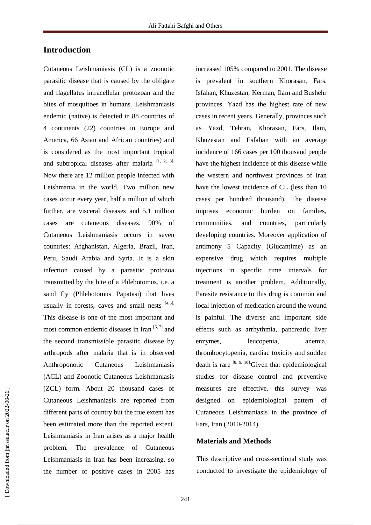### **Introduction**

Cutaneous Leishmaniasis (CL) is a zoonotic parasitic disease that is caused by the obligate and flagellates intracellular protozoan and the bites of mosquitoes in humans. Leishmaniasis endemic (native) is detected in 88 countries of 4 continents (22) countries in Europe and America, 66 Asian and African countries) and is considered as the most important tropical and subtropical diseases after malaria  $[1, 2, 3]$ . Now there are 12 million people infected with Leishmania in the world. Two million new cases occur every year, half a million of which further, are visceral diseases and 5.1 million cases are cutaneous diseases. 90% of Cutaneous Leishmaniasis occurs in seven countries: Afghanistan, Algeria, Brazil, Iran, Peru, Saudi Arabia and Syria. It is a skin infection caused by a parasitic protozoa transmitted by the bite of a Phlebotomus, i.e. a sand fly (Phlebotomus Papatasi) that lives usually in forests, caves and small nests [4,5]. This disease is one of the most important and most common endemic diseases in Iran  $[6, 7]$  and the second transmissible parasitic disease by arthropods after malaria that is in observed Anthroponotic Cutaneous Leishmaniasis (ACL) and Zoonotic Cutaneous Leishmaniasis (ZCL) form. About 20 thousand cases of Cutaneous Leishmaniasis are reported from different parts of country but the true extent has been estimated more than the reported extent. Leishmaniasis in Iran arises as a major health problem. The prevalence of Cutaneous Leishmaniasis in Iran has been increasing, so the number of positive cases in 2005 has

increased 105% compared to 2001. The disease is prevalent in southern Khorasan, Fars, Isfahan, Khuzestan, Kerman, Ilam and Bushehr provinces. Yazd has the highest rate of new cases in recent years. Generally, provinces such as Yazd, Tehran, Khorasan, Fars, Ilam, Khuzestan and Esfahan with an average incidence of 166 cases per 100 thousand people have the highest incidence of this disease while the western and northwest provinces of Iran have the lowest incidence of CL (less than 10 cases per hundred thousand). The disease imposes economic burden on families, communities, and countries, particularly developing countries. Moreover application of antimony 5 Capacity (Glucantime) as an expensive drug which requires multiple injections in specific time intervals for treatment is another problem. Additionally, Parasite resistance to this drug is common and local injection of medication around the wound is painful. The diverse and important side effects such as arrhythmia, pancreatic liver enzymes, leucopenia, anemia, thrombocytopenia, cardiac toxicity and sudden death is rare  $[8, 9, 10]$ . Given that epidemiological studies for disease control and preventive measures are effective, this survey was designed on epidemiological pattern of Cutaneous Leishmaniasis in the province of Fars, Iran (2010-2014).

#### **Materials and Methods**

This descriptive and cross-sectional study was conducted to investigate the epidemiology of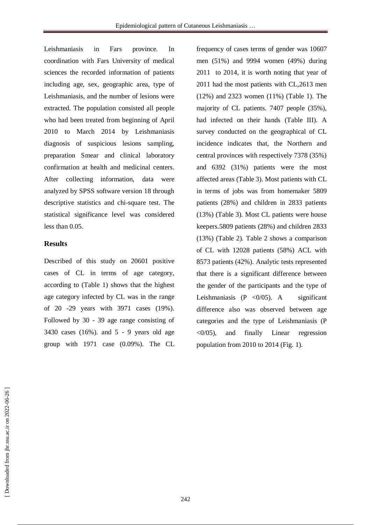Leishmaniasis in Fars province. In coordination with Fars University of medical sciences the recorded information of patients including age, sex, geographic area, type of Leishmaniasis, and the number of lesions were extracted. The population consisted all people who had been treated from beginning of April 2010 to March 2014 by Leishmaniasis diagnosis of suspicious lesions sampling, preparation Smear and clinical laboratory confirmation at health and medicinal centers. After collecting information, data were analyzed by SPSS software version 18 through descriptive statistics and chi-square test. The statistical significance level was considered less than 0.05.

#### **Results**

Described of this study on 20601 positive cases of CL in terms of age category, according to (Table 1) shows that the highest age category infected by CL was in the range of 20 -29 years with 3971 cases (19%). Followed by 30 - 39 age range consisting of 3430 cases (16%). and 5 - 9 years old age group with 1971 case (0.09%). The CL

frequency of cases terms of gender was 10607 men (51%) and 9994 women (49%) during 2011 to 2014, it is worth noting that year of 2011 had the most patients with CL,2613 men (12%) and 2323 women (11%) (Table 1). The majority of CL patients. 7407 people (35%), had infected on their hands (Table III). A survey conducted on the geographical of CL incidence indicates that, the Northern and central provinces with respectively 7378 (35%) and 6392 (31%) patients were the most affected areas (Table 3). Most patients with CL in terms of jobs was from homemaker 5809 patients (28%) and children in 2833 patients (13%) (Table 3). Most CL patients were house keepers.5809 patients (28%) and children 2833 (13%) (Table 2). Table 2 shows a comparison of CL with 12028 patients (58%) ACL with 8573 patients (42%). Analytic tests represented that there is a significant difference between the gender of the participants and the type of Leishmaniasis  $(P \langle 0/05 \rangle)$ . A significant difference also was observed between age categories and the type of Leishmaniasis (P  $\langle 0/05 \rangle$ , and finally Linear regression population from 2010 to 2014 (Fig. 1).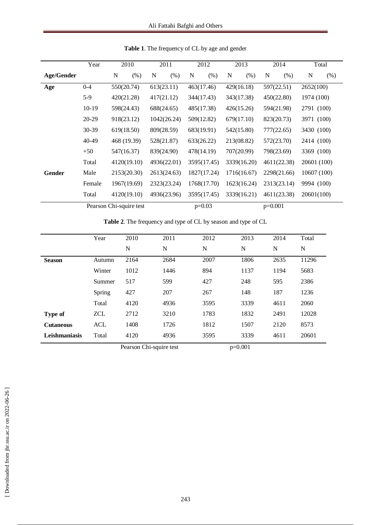|            | Year                    | 2010        |      | 2011        |      | 2012        |      | 2013        |           | 2014        |      | Total       |      |
|------------|-------------------------|-------------|------|-------------|------|-------------|------|-------------|-----------|-------------|------|-------------|------|
| Age/Gender |                         | N           | (% ) | N           | (% ) | N           | (% ) | N           | (% )      | N           | (% ) | N           | (% ) |
| Age        | $0 - 4$                 | 550(20.74)  |      | 613(23.11)  |      | 463(17.46)  |      | 429(16.18)  |           | 597(22.51)  |      | 2652(100)   |      |
|            | $5-9$                   | 420(21.28)  |      | 417(21.12)  |      | 344(17.43)  |      | 343(17.38)  |           | 450(22.80)  |      | 1974 (100)  |      |
|            | $10-19$                 | 598(24.43)  |      | 688(24.65)  |      | 485(17.38)  |      | 426(15.26)  |           | 594(21.98)  |      | 2791 (100)  |      |
|            | 20-29                   | 918(23.12)  |      | 1042(26.24) |      | 509(12.82)  |      | 679(17.10)  |           | 823(20.73)  |      | 3971 (100)  |      |
|            | $30 - 39$               | 619(18.50)  |      | 809(28.59)  |      | 683(19.91)  |      | 542(15.80)  |           | 777(22.65)  |      | 3430 (100)  |      |
|            | 40-49                   | 468 (19.39) |      | 528(21.87)  |      | 633(26.22)  |      | 213(08.82)  |           | 572(23.70)  |      | 2414 (100)  |      |
|            | $+50$                   | 547(16.37)  |      | 839(24.90)  |      | 478(14.19)  |      | 707(20.99)  |           | 798(23.69)  |      | 3369 (100)  |      |
|            | Total                   | 4120(19.10) |      | 4936(22.01) |      | 3595(17.45) |      | 3339(16.20) |           | 4611(22.38) |      | 20601 (100) |      |
| Gender     | Male                    | 2153(20.30) |      | 2613(24.63) |      | 1827(17.24) |      | 1716(16.67) |           | 2298(21.66) |      | 10607 (100) |      |
|            | Female                  | 1967(19.69) |      | 2323(23.24) |      | 1768(17.70) |      | 1623(16.24) |           | 2313(23.14) |      | 9994 (100)  |      |
|            | Total                   | 4120(19.10) |      | 4936(23.96) |      | 3595(17.45) |      | 3339(16.21) |           | 4611(23.38) |      | 20601(100)  |      |
|            | Pearson Chi-squire test |             |      |             |      | $p=0.03$    |      |             | $p=0.001$ |             |      |             |      |

**Table 1**. The frequency of CL by age and gender

**Table 2**. The frequency and type of CL by season and type of CL

|                  | Year                     | 2010 | 2011        | 2012         | 2013 | 2014 | Total |
|------------------|--------------------------|------|-------------|--------------|------|------|-------|
|                  |                          | N    | $\mathbf N$ | N            | N    | N    | N     |
| <b>Season</b>    | Autumn                   | 2164 | 2684        | 2007         | 1806 | 2635 | 11296 |
|                  | Winter                   | 1012 | 1446        | 894          | 1137 | 1194 | 5683  |
|                  | Summer                   | 517  | 599         | 427          | 248  | 595  | 2386  |
|                  | Spring                   | 427  | 207         | 267          | 148  | 187  | 1236  |
|                  | Total                    | 4120 | 4936        | 3595         | 3339 | 4611 | 2060  |
| <b>Type of</b>   | <b>ZCL</b>               | 2712 | 3210        | 1783         | 1832 | 2491 | 12028 |
| <b>Cutaneous</b> | ACL                      | 1408 | 1726        | 1812         | 1507 | 2120 | 8573  |
| Leishmaniasis    | Total                    | 4120 | 4936        | 3595         | 3339 | 4611 | 20601 |
|                  | Decrease Chi contra toot |      |             | $\sim$ 0.001 |      |      |       |

Pearson Chi-squire test p=0.001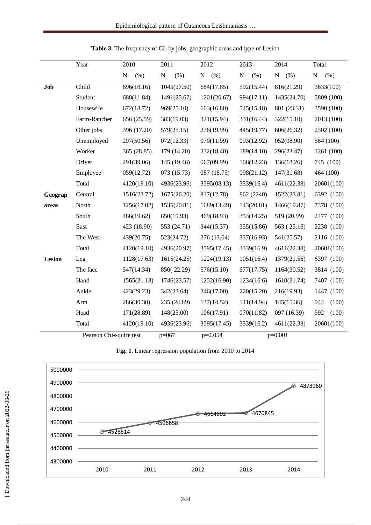|         | Year         | 2010             | 2011             | 2012        | 2013              | 2014              | Total             |  |
|---------|--------------|------------------|------------------|-------------|-------------------|-------------------|-------------------|--|
|         |              | ${\bf N}$<br>(%) | ${\bf N}$<br>(%) | (% )<br>N   | ${\bf N}$<br>(% ) | (% )<br>${\bf N}$ | ${\bf N}$<br>(% ) |  |
| Job     | Child        | 696(18.16)       | 1045(27.50)      | 684(17.85)  | 592(15.44)        | 816(21.29)        | 3833(100)         |  |
|         | Student      | 688(11.84)       | 1491(25.67)      | 1201(20.67) | 994(17.11)        | 1435(24.70)       | 5809 (100)        |  |
|         | Housewife    | 672(18.72)       | 969(25.10)       | 603(16.80)  | 545(15.18)        | 801 (23.31)       | 3590 (100)        |  |
|         | Farm-Rancher | 656 (25.59)      | 383(19.03)       | 321(15.94)  | 331(16.44)        | 322(15.10)        | 2013 (100)        |  |
|         | Other jobs   | 396 (17.20)      | 579(25.15)       | 276(19.99)  | 445(19.77)        | 606(26.32)        | 2302 (100)        |  |
|         | Unemployed   | 297(50.56)       | 072(12.33)       | 070(11.99)  | 093(12.92)        | 052(08.90)        | 584 (100)         |  |
|         | Worker       | 365 (28.85)      | 179 (14.20)      | 232(18.40)  | 189(14.10)        | 296(23.47)        | 1261 (100)        |  |
|         | Driver       | 291(39.06)       | 145 (19.46)      | 067(09.99)  | 106(12.23)        | 136(18.26)        | 745 (100)         |  |
|         | Employee     | 059(12.72)       | 073 (15.73)      | 087 (18.75) | 098(21.12)        | 147(31.68)        | 464 (100)         |  |
|         | Total        | 4120(19.10)      | 4936(23.96)      | 3595(08.13) | 3339(16.4)        | 4611(22.38)       | 20601(100)        |  |
| Geograp | Central      | 1516(23.72)      | 1675(26.20)      | 817(12.78)  | 862 (2240)        | 1522(23.81)       | 6392 (100)        |  |
| areas   | North        | 1256(17.02)      | 1535(20.81)      | 1689(13.49) | 143(20.81)        | 1466(19.87)       | 7378 (100)        |  |
|         | South        | 486(19.62)       | 650(19.93)       | 469(18.93)  | 353(14.25)        | 519 (20.99)       | 2477 (100)        |  |
|         | East         | 423 (18.90)      | 553 (24.71)      | 344(15.37)  | 355(15.86)        | 563 (25.16)       | 2238 (100)        |  |
|         | The West     | 439(20.75)       | 523(24.72)       | 276 (13.04) | 337(16.93)        | 541(25.57)        | 2116 (100)        |  |
|         | Total        | 4120(19.10)      | 4936(20.97)      | 3595(17.45) | 3339(16.9)        | 4611(22.38)       | 20601(100)        |  |
| Lesion  | Leg          | 1128(17.63)      | 1615(24.25)      | 1224(19.13) | 1051(16.4)        | 1379(21.56)       | 6397 (100)        |  |
|         | The face     | 547(14.34)       | 850(22.29)       | 576(15.10)  | 677(17.75)        | 1164(30.52)       | 3814 (100)        |  |
|         | Hand         | 1565(21.13)      | 1746(23.57)      | 1252(16.90) | 1234(16.6)        | 1610(21.74)       | 7407<br>(100)     |  |
|         | Ankle        | 423(29.23)       | 342(23.64)       | 246(17.00)  | 220(15.20)        | 216(19.93)        | (100)<br>1447     |  |
|         | Arm          | 286(30.30)       | 235 (24.89)      | 137(14.52)  | 141(14.94)        | 145(15.36)        | 944<br>(100)      |  |
|         | Head         | 171(28.89)       | 148(25.00)       | 106(17.91)  | 070(11.82)        | 097 (16.39)       | 592<br>(100)      |  |
|         | Total        | 4120(19.10)      | 4936(23.96)      | 3595(17.45) | 3339(16.2)        | 4611(22.38)       | 20601(100)        |  |

**Table 3**. The frequency of CL by jobs, geographic areas and type of Lesion

Pearson Chi-squire test p=067 p=0.054 p=0.001



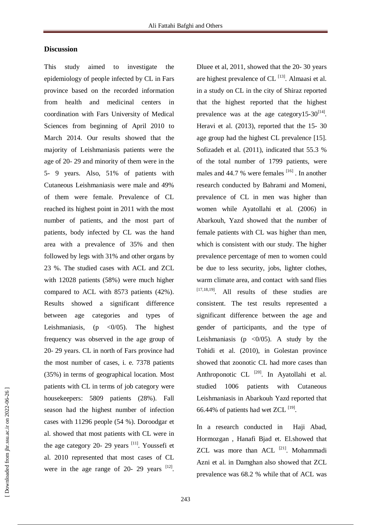#### **Discussion**

This study aimed to investigate the epidemiology of people infected by CL in Fars province based on the recorded information from health and medicinal centers in coordination with Fars University of Medical Sciences from beginning of April 2010 to March 2014. Our results showed that the majority of Leishmaniasis patients were the age of 20- 29 and minority of them were in the 5- 9 years. Also, 51% of patients with Cutaneous Leishmaniasis were male and 49% of them were female. Prevalence of CL reached its highest point in 2011 with the most number of patients, and the most part of patients, body infected by CL was the hand area with a prevalence of 35% and then followed by legs with 31% and other organs by 23 %. The studied cases with ACL and ZCL with 12028 patients (58%) were much higher compared to ACL with 8573 patients (42%). Results showed a significant difference between age categories and types of Leishmaniasis, (p  $\langle 0/05 \rangle$ . The highest frequency was observed in the age group of 20- 29 years. CL in north of Fars province had the most number of cases, i. e. 7378 patients (35%) in terms of geographical location. Most patients with CL in terms of job category were housekeepers: 5809 patients (28%). Fall season had the highest number of infection cases with 11296 people (54 %). Doroodgar et al. showed that most patients with CL were in the age category 20- 29 years  $\frac{[11]}{[11]}$ . Youssefi et al. 2010 represented that most cases of CL were in the age range of 20- 29 years  $[12]$ . Dluee et al, 2011, showed that the 20- 30 years are highest prevalence of  $CL$ <sup>[13]</sup>. Almaasi et al. in a study on CL in the city of Shiraz reported that the highest reported that the highest prevalence was at the age category15-30 $^{[14]}$ . Heravi et al. (2013), reported that the 15- 30 age group had the highest CL prevalence [15]. Sofizadeh et al. (2011), indicated that 55.3 % of the total number of 1799 patients, were males and 44.7 % were females  $[16]$ . In another research conducted by Bahrami and Momeni, prevalence of CL in men was higher than women while Ayatollahi et al. (2006) in Abarkouh, Yazd showed that the number of female patients with CL was higher than men, which is consistent with our study. The higher prevalence percentage of men to women could be due to less security, jobs, lighter clothes, warm climate area, and contact with sand flies  $[17,18,19]$ . All results of these studies are consistent. The test results represented a significant difference between the age and gender of participants, and the type of Leishmaniasis (p  $\langle 0/05 \rangle$ ). A study by the Tohidi et al. (2010), in Golestan province showed that zoonotic CL had more cases than Anthroponotic CL<sup>[20]</sup>. In Ayatollahi et al. studied 1006 patients with Cutaneous Leishmaniasis in Abarkouh Yazd reported that 66.44% of patients had wet ZCL  $^{[19]}$ .

In a research conducted in Haji Abad, Hormozgan , Hanafi Bjad et. El.showed that ZCL was more than ACL <sup>[21]</sup>. Mohammadi Azni et al. in Damghan also showed that ZCL prevalence was 68.2 % while that of ACL was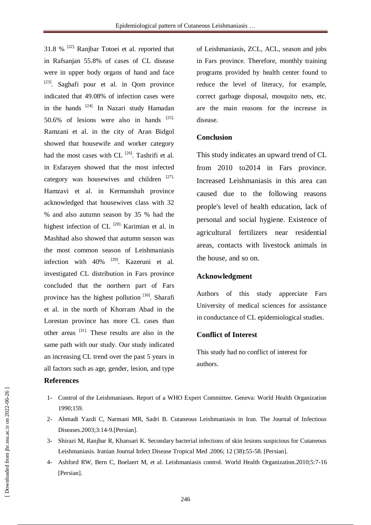31.8 % [22]. Ranjbar Totoei et al. reported that in Rafsanjan 55.8% of cases of CL disease were in upper body organs of hand and face <sup>[23]</sup>. Saghafi pour et al. in Qom province indicated that 49.08% of infection cases were in the hands <sup>[24]</sup>. In Nazari study Hamadan 50.6% of lesions were also in hands  $^{[25]}$ . Ramzani et al. in the city of Aran Bidgol showed that housewife and worker category had the most cases with CL  $^{[26]}$ . Tashrifi et al. in Esfarayen showed that the most infected category was housewives and children [27]. Hamzavi et al. in Kermanshah province acknowledged that housewives class with 32 % and also autumn season by 35 % had the highest infection of CL  $^{[28]}$ . Karimian et al. in Mashhad also showed that autumn season was the most common season of Leishmaniasis infection with  $40\%$  <sup>[29]</sup>. Kazeruni et al. investigated CL distribution in Fars province concluded that the northern part of Fars province has the highest pollution<sup>[30]</sup>. Sharafi et al. in the north of Khorram Abad in the Lorestan province has more CL cases than other areas [31]. These results are also in the same path with our study. Our study indicated an increasing CL trend over the past 5 years in all factors such as age, gender, lesion, and type

#### **References**

of Leishmaniasis, ZCL, ACL, season and jobs in Fars province. Therefore, monthly training programs provided by health center found to reduce the level of literacy, for example, correct garbage disposal, mosquito nets, etc. are the main reasons for the increase in disease.

#### **Conclusion**

This study indicates an upward trend of CL from 2010 to2014 in Fars province. Increased Leishmaniasis in this area can caused due to the following reasons people's level of health education, lack of personal and social hygiene. Existence of agricultural fertilizers near residential areas, contacts with livestock animals in the house, and so on.

#### **Acknowledgment**

Authors of this study appreciate Fars University of medical sciences for assistance in conductance of CL epidemiological studies.

#### **Conflict of Interest**

This study had no conflict of interest for authors.

- 1- Control of the Leishmaniases. Report of a WHO Expert Committee. Geneva: World Health Organization 1990;159.
- 2- Ahmadi Yazdi C, Narmani MR, Sadri B. Cutaneous Leishmaniasis in Iran. The Journal of Infectious Diseases.2003;3:14-9.[Persian].
- 3- Shirazi M, Ranjbar R, Khansari K. Secondary bacterial infections of skin lesions suspicious for Cutaneous Leishmaniasis. Iranian Journal Infect Disease Tropical Med .2006; 12 (38):55-58. [Persian].
- 4- Ashford RW, Bern C, Boelaert M, et al. Leishmaniasis control. World Health Organization.2010;5:7-16 [Persian].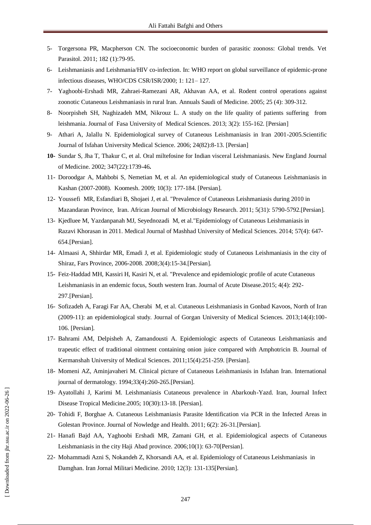- 5- Torgersona PR, Macpherson CN. The socioeconomic burden of parasitic zoonoss: Global trends. Vet Parasitol. 2011; 182 (1):79-95.
- 6- Leishmaniasis and Leishmania/HIV co-infection. In: WHO report on global surveillance of epidemic-prone infectious diseases, WHO/CDS CSR/ISR/2000; 1: 121– 127.
- 7- Yaghoobi-Ershadi MR, Zahraei-Ramezani AR, Akhavan AA, et al. Rodent control operations against zoonotic Cutaneous Leishmaniasis in rural Iran. Annuals Saudi of Medicine. 2005; 25 (4): 309-312.
- 8- Noorpisheh SH, Naghizadeh MM, Nikrouz L. A study on the life quality of patients suffering from leishmania. Journal of Fasa University of Medical Sciences. 2013; 3(2): 155-162. [Persian]
- 9- Athari A, Jalallu N. Epidemiological survey of Cutaneous Leishmaniasis in Iran 2001-2005.Scientific Journal of Isfahan University Medical Science. 2006; 24(82):8-13. [Persian]
- **10-** Sundar S, Jha T, Thakur C, et al. Oral miltefosine for Indian visceral Leishmaniasis. New England Journal of Medicine. 2002; 347(22):1739-46**.**
- 11- Doroodgar A, Mahbobi S, Nemetian M, et al. An epidemiological study of Cutaneous Leishmaniasis in Kashan (2007-2008). Koomesh. 2009; 10(3): 177-184. [Persian].
- 12- Youssefi MR, Esfandiari B, Shojaei J, et al. "Prevalence of Cutaneous Leishmaniasis during 2010 in Mazandaran Province, Iran. African Journal of Microbiology Research. 2011; 5(31): 5790-5792.[Persian].
- 13- Kjedluee M, [Yazdanpanah MJ,](http://en.journals.sid.ir/SearchPaper.aspx?writer=155279) [Seyednozadi M,](http://en.journals.sid.ir/SearchPaper.aspx?writer=602531) et al."Epidemiology of Cutaneous Leishmaniasis in Razavi Khorasan in 2011. Medical [Journal of Mashhad](http://en.journals.sid.ir/JournalList.aspx?ID=3453) University of Medical Sciences. 2014; 57(4): 647- 654.[Persian].
- 14- Almaasi A, Shhirdar MR, Emadi J, et al. Epidemiologic study of Cutaneous Leishmaniasis in the city of Shiraz, Fars Province, 2006-2008. 2008;3(4):15-34.[Persian].
- 15- Feiz-Haddad MH, [Kassiri](http://www.sciencedirect.com/science/article/pii/S2221618915000487) H, [Kasiri](http://www.sciencedirect.com/science/article/pii/S2221618915000487) N, et al. "Prevalence and epidemiologic profile of acute Cutaneous Leishmaniasis in an endemic focus, South western Iran. Journal of Acute Disease.2015; 4(4): 292- 297.[Persian].
- 16- Sofizadeh A, Faragi Far AA, Cherabi M, et al. Cutaneous Leishmaniasis in Gonbad Kavoos, North of Iran (2009-11): an epidemiological study. Journal of Gorgan University of Medical Sciences. 2013;14(4):100- 106. [Persian].
- 17- Bahrami AM, Delpisheh A, Zamandousti A. Epidemiologic aspects of Cutaneous Leishmaniasis and trapeutic effect of traditional ointment containing onion juice compared with Amphotricin B. Journal of Kermanshah University of Medical Sciences. 2011;15(4):251-259. [Persian].
- 18- Momeni AZ, Aminjavaheri M. Clinical picture of Cutaneous Leishmaniasis in Isfahan Iran. International journal of dermatology. 1994;33(4):260-265.[Persian].
- 19- Ayatollahi J, Karimi M. Leishmaniasis Cutaneous prevalence in Abarkouh-Yazd. Iran, Journal Infect Disease Tropical Medicine.2005; 10(30):13-18. [Persian].
- 20- Tohidi F, Borghae A. Cutaneous Leishmaniasis Parasite Identification via PCR in the Infected Areas in Golestan Province. Journal of Nowledge and Health. 2011; 6(2): 26-31.[Persian].
- 21- Hanafi Bajd AA, Yaghoobi Ershadi MR, Zamani GH, et al. Epidemiological aspects of Cutaneous Leishmaniasis in the city Haji Abad province. 2006;10(1): 63-70[Persian].
- 22- Mohammadi Azni S, Nokandeh Z, Khorsandi AA, et al. Epidemiology of Cutaneous Leishmaniasis in Damghan. Iran Jornal Militari Medicine. 2010; 12(3): 131-135[Persian].